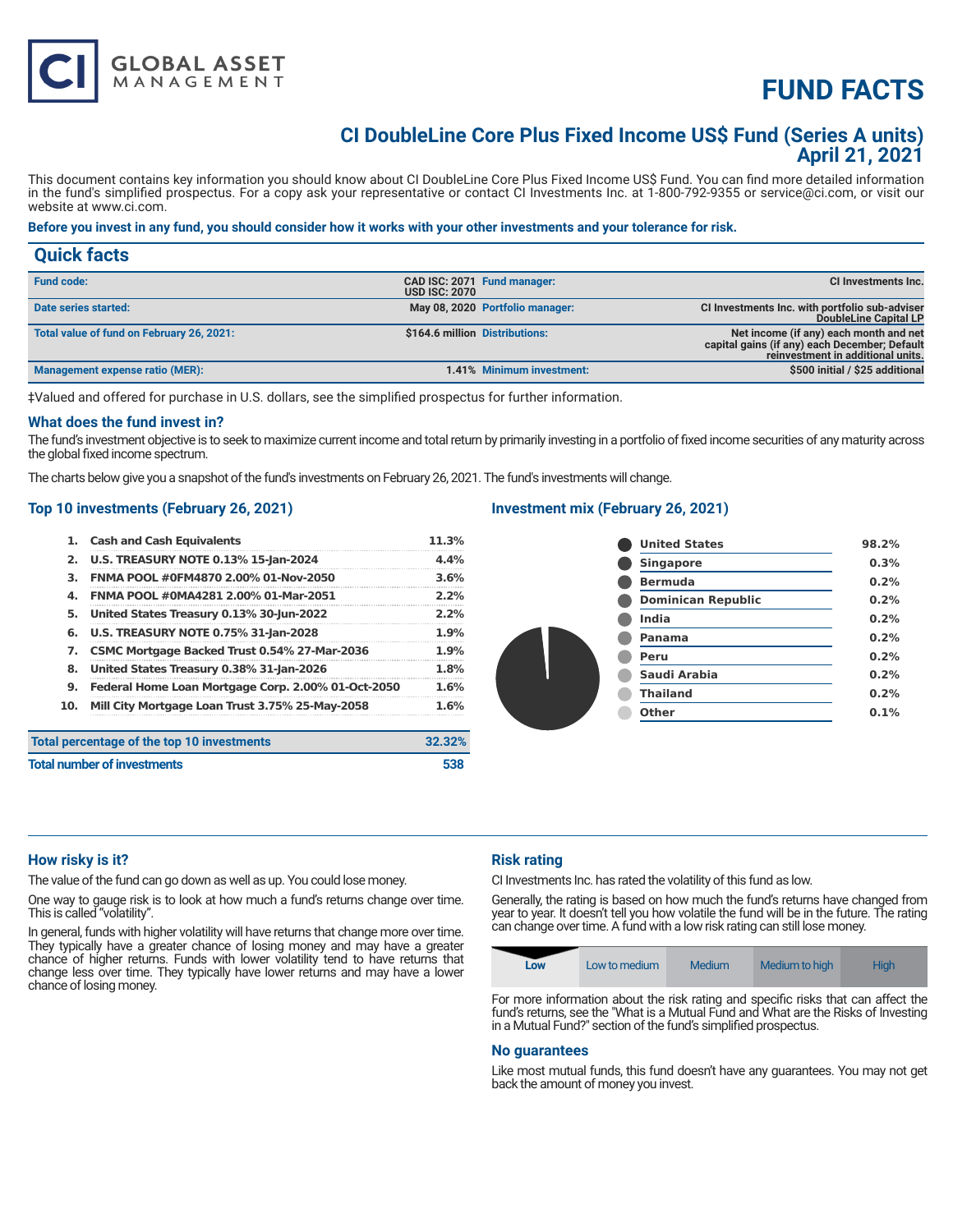

# **CI DoubleLine Core Plus Fixed Income US\$ Fund (Series A units) April 21, 2021**

This document contains key information you should know about CI DoubleLine Core Plus Fixed Income US\$ Fund. You can find more detailed information in the fund's simplified prospectus. For a copy ask your representative or contact CI Investments Inc. at 1-800-792-9355 or service@ci.com, or visit our website at www.ci.com.

# **Before you invest in any fund, you should consider how it works with your other investments and your tolerance for risk.**

| <b>Quick facts</b>                        |                      |                                 |                                                                                                                              |
|-------------------------------------------|----------------------|---------------------------------|------------------------------------------------------------------------------------------------------------------------------|
| <b>Fund code:</b>                         | <b>USD ISC: 2070</b> | CAD ISC: 2071 Fund manager:     | CI Investments Inc.                                                                                                          |
| Date series started:                      |                      | May 08, 2020 Portfolio manager: | CI Investments Inc. with portfolio sub-adviser<br>DoubleLine Capital LP                                                      |
| Total value of fund on February 26, 2021: |                      | \$164.6 million Distributions:  | Net income (if any) each month and net<br>capital gains (if any) each December; Default<br>reinvestment in additional units. |
| Management expense ratio (MER):           |                      | 1.41% Minimum investment:       | \$500 initial / \$25 additional                                                                                              |

‡Valued and offered for purchase in U.S. dollars, see the simplified prospectus for further information.

#### **What does the fund invest in?**

The fund's investment objective is to seek to maximize current income and total return by primarily investing in a portfolio of fixed income securities of any maturity across the global fixed income spectrum.

The charts below give you a snapshot of the fund's investments on February 26, 2021. The fund's investments will change.

#### **Top 10 investments (February 26, 2021)**

**GLOBAL ASSET**<br>MANAGEMENT

| 1.                                 | <b>Cash and Cash Equivalents</b>                   | 11.3%  |
|------------------------------------|----------------------------------------------------|--------|
| 2.                                 | <b>U.S. TREASURY NOTE 0.13% 15-Jan-2024</b>        | 4.4%   |
| з.                                 | FNMA POOL #0FM4870 2.00% 01-Nov-2050               | 3.6%   |
| 4.                                 | FNMA POOL #0MA4281 2.00% 01-Mar-2051               | 2.2%   |
| 5.                                 | United States Treasury 0.13% 30-Jun-2022           | 2.2%   |
| 6.                                 | <b>U.S. TREASURY NOTE 0.75% 31-Jan-2028</b>        | 1.9%   |
| 7.                                 | CSMC Mortgage Backed Trust 0.54% 27-Mar-2036       | 1.9%   |
| 8.                                 | United States Treasury 0.38% 31-Jan-2026           | 1.8%   |
| 9.                                 | Federal Home Loan Mortgage Corp. 2.00% 01-Oct-2050 | 1.6%   |
| 10.                                | Mill City Mortgage Loan Trust 3.75% 25-May-2058    | 1.6%   |
|                                    | Total percentage of the top 10 investments         | 32.32% |
| <b>Total number of investments</b> |                                                    | 538    |

# **Investment mix (February 26, 2021)**

| <b>United States</b>      | 98.2% |
|---------------------------|-------|
| <b>Singapore</b>          | 0.3%  |
| <b>Bermuda</b>            | 0.2%  |
| <b>Dominican Republic</b> | 0.2%  |
| India                     | 0.2%  |
| Panama                    | 0.2%  |
| Peru                      | 0.2%  |
| Saudi Arabia              | 0.2%  |
| <b>Thailand</b>           | 0.2%  |
| Other                     | 0.1%  |
|                           |       |

# **How risky is it?**

The value of the fund can go down as well as up. You could lose money.

One way to gauge risk is to look at how much a fund's returns change over time. This is called "volatility".

In general, funds with higher volatility will have returns that change more over time. They typically have a greater chance of losing money and may have a greater chance of higher returns. Funds with lower volatility tend to have returns that change less over time. They typically have lower returns and may have a lower chance of losing money.

# **Risk rating**

CI Investments Inc. has rated the volatility of this fund as low.

Generally, the rating is based on how much the fund's returns have changed from year to year. It doesn't tell you how volatile the fund will be in the future. The rating can change over time. A fund with a low risk rating can still lose money.



For more information about the risk rating and specific risks that can affect the fund's returns, see the "What is a Mutual Fund and What are the Risks of Investing in a Mutual Fund?" section of the fund's simplified prospectus.

#### **No guarantees**

Like most mutual funds, this fund doesn't have any guarantees. You may not get back the amount of money you invest.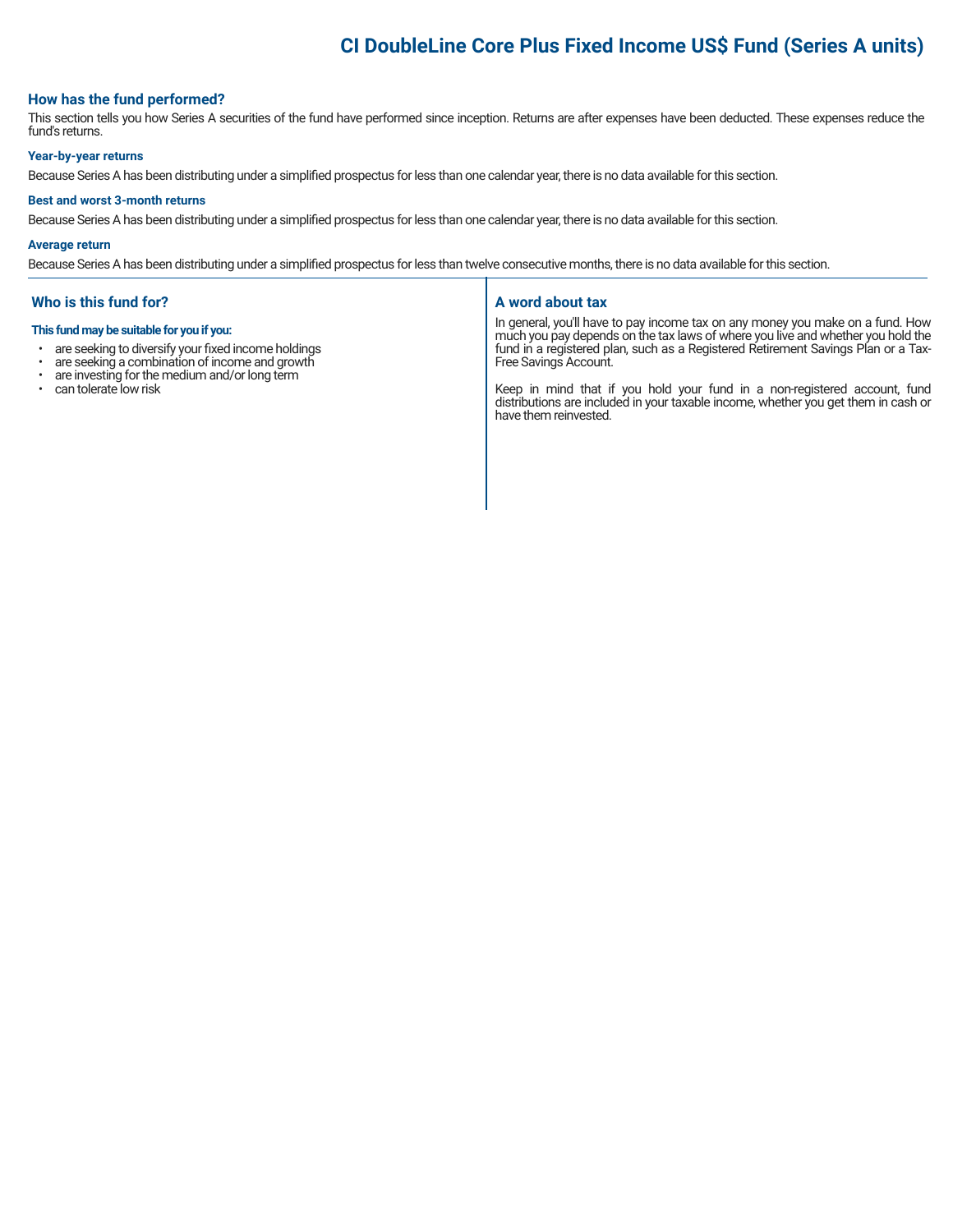# **CI DoubleLine Core Plus Fixed Income US\$ Fund (Series A units)**

# **How has the fund performed?**

This section tells you how Series A securities of the fund have performed since inception. Returns are after expenses have been deducted. These expenses reduce the fund's returns.

# **Year-by-year returns**

Because Series A has been distributing under a simplified prospectus for less than one calendar year, there is no data available for this section.

#### **Best and worst 3-month returns**

Because Series A has been distributing under a simplified prospectus for less than one calendar year, there is no data available for this section.

#### **Average return**

Because Series A has been distributing under a simplified prospectus for less than twelve consecutive months, there is no data available for this section.

### **Who is this fund for?**

#### **This fund may be suitable for you if you:**

- are seeking to diversify your fixed income holdings<br>• are seeking a combination of income and growth
- are seeking a combination of income and growth<br>• are investing for the medium and/or long term
- are investing for the medium and/or long term
- can tolerate low risk

#### **A word about tax**

In general, you'll have to pay income tax on any money you make on a fund. How much you pay depends on the tax laws of where you live and whether you hold the fund in a registered plan, such as a Registered Retirement Savings Plan or a Tax-Free Savings Account.

Keep in mind that if you hold your fund in a non-registered account, fund distributions are included in your taxable income, whether you get them in cash or have them reinvested.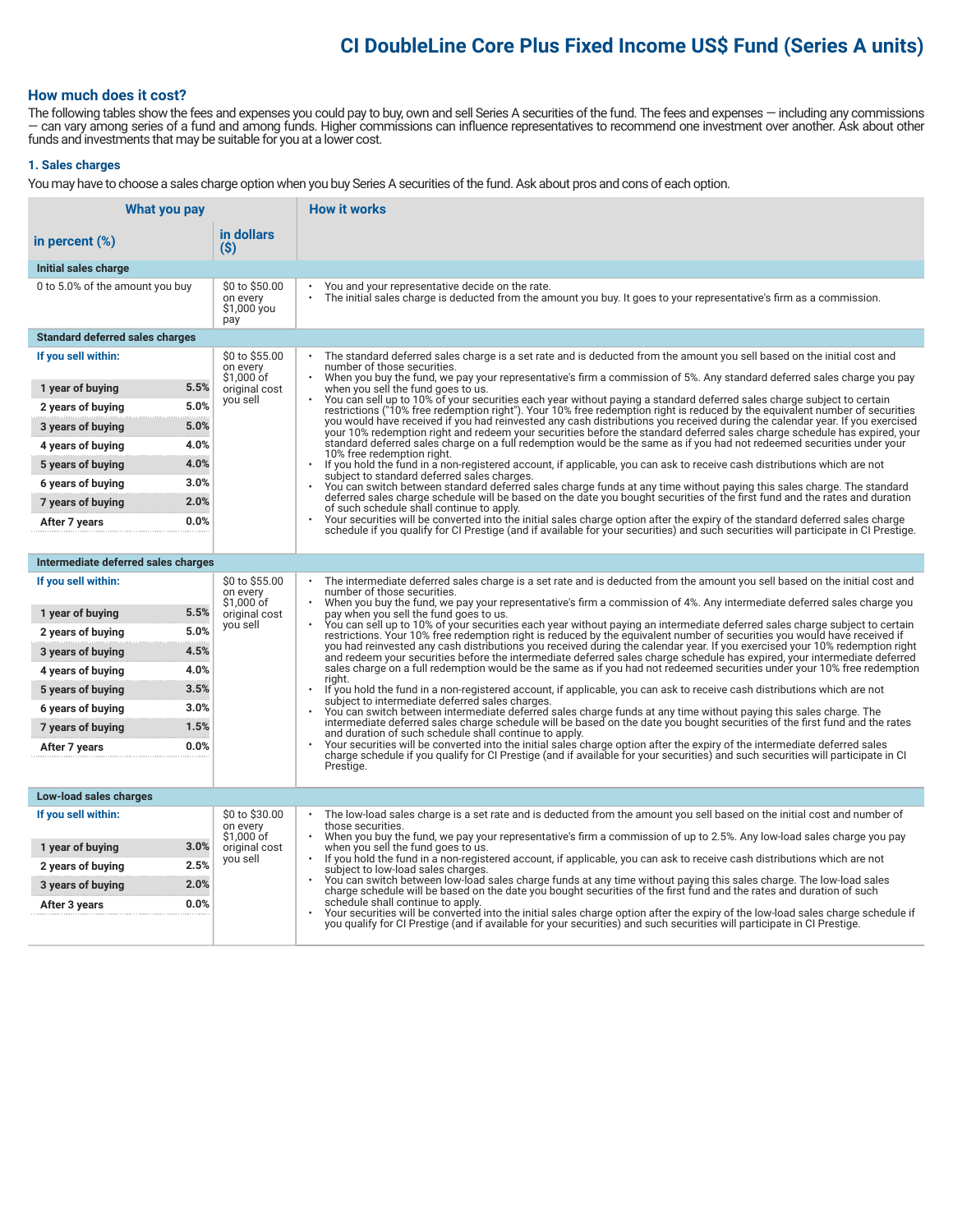# **CI DoubleLine Core Plus Fixed Income US\$ Fund (Series A units)**

# **How much does it cost?**

The following tables show the fees and expenses you could pay to buy, own and sell Series A securities of the fund. The fees and expenses — including any commissions — can vary among series of a fund and among funds. Higher commissions can influence representatives to recommend one investment over another. Ask about other funds and investments that may be suitable for you at a lower cost.

# **1. Sales charges**

You may have to choose a sales charge option when you buy Series A securities of the fund. Ask about pros and cons of each option.

| What you pay                           |                                                  | <b>How it works</b>                                                                                                                                                                                                                                                                           |  |  |
|----------------------------------------|--------------------------------------------------|-----------------------------------------------------------------------------------------------------------------------------------------------------------------------------------------------------------------------------------------------------------------------------------------------|--|--|
| in percent $(\%)$                      | in dollars<br>$($ \$)                            |                                                                                                                                                                                                                                                                                               |  |  |
| Initial sales charge                   |                                                  |                                                                                                                                                                                                                                                                                               |  |  |
| 0 to 5.0% of the amount you buy        | \$0 to \$50.00<br>on every<br>\$1,000 you<br>pay | You and your representative decide on the rate.<br>The initial sales charge is deducted from the amount you buy. It goes to your representative's firm as a commission.                                                                                                                       |  |  |
| <b>Standard deferred sales charges</b> |                                                  |                                                                                                                                                                                                                                                                                               |  |  |
| If you sell within:                    | \$0 to \$55.00<br>on every<br>\$1,000 of         | The standard deferred sales charge is a set rate and is deducted from the amount you sell based on the initial cost and<br>number of those securities.<br>When you buy the fund, we pay your representative's firm a commission of 5%. Any standard deferred sales charge you pay             |  |  |
| 5.5%<br>1 year of buying               | original cost                                    | when you sell the fund goes to us.                                                                                                                                                                                                                                                            |  |  |
| 5.0%<br>2 years of buying              | you sell                                         | You can sell up to 10% of your securities each year without paying a standard deferred sales charge subject to certain<br>restrictions ("10% free redemption right"). Your 10% free redemption right is reduced by the equivalent number of securities                                        |  |  |
| 5.0%<br>3 years of buying              |                                                  | you would have received if you had reinvested any cash distributions you received during the calendar year. If you exercised<br>your 10% redemption right and redeem your securities before the standard deferred sales charge schedule has expired, your                                     |  |  |
| 4.0%<br>4 years of buying              |                                                  | standard deferred sales charge on a full redemption would be the same as if you had not redeemed securities under your<br>10% free redemption right.<br>If you hold the fund in a non-registered account, if applicable, you can ask to receive cash distributions which are not<br>$\bullet$ |  |  |
| 4.0%<br>5 years of buying              |                                                  |                                                                                                                                                                                                                                                                                               |  |  |
| 3.0%<br>6 years of buying              |                                                  | subject to standard deferred sales charges.<br>You can switch between standard deferred sales charge funds at any time without paying this sales charge. The standard                                                                                                                         |  |  |
| 2.0%<br>7 years of buying              |                                                  | deferred sales charge schedule will be based on the date you bought securities of the first fund and the rates and duration<br>of such schedule shall continue to apply.                                                                                                                      |  |  |
| 0.0%<br>After 7 years                  |                                                  | Your securities will be converted into the initial sales charge option after the expiry of the standard deferred sales charge<br>schedule if you qualify for CI Prestige (and if available for your securities) and such securities will participate in CI Prestige.                          |  |  |
|                                        |                                                  |                                                                                                                                                                                                                                                                                               |  |  |
| Intermediate deferred sales charges    |                                                  |                                                                                                                                                                                                                                                                                               |  |  |
| If you sell within:                    | \$0 to \$55.00<br>on every<br>\$1.000 of         | The intermediate deferred sales charge is a set rate and is deducted from the amount you sell based on the initial cost and<br>number of those securities.<br>When you buy the fund, we pay your representative's firm a commission of 4%. Any intermediate deferred sales charge you         |  |  |
| 5.5%<br>1 year of buying               | original cost                                    | pay when you sell the fund goes to us.                                                                                                                                                                                                                                                        |  |  |
| 5.0%<br>2 years of buying              | you sell                                         | You can sell up to 10% of your securities each year without paying an intermediate deferred sales charge subject to certain<br>restrictions. Your 10% free redemption right is reduced by the equivalent number of securities you would have received if                                      |  |  |
| 4.5%<br>3 years of buying              |                                                  | you had reinvested any cash distributions you received during the calendar year. If you exercised your 10% redemption right<br>and redeem your securities before the intermediate deferred sales charge schedule has expired, your intermediate deferred                                      |  |  |
| 4.0%<br>4 years of buying              |                                                  | sales charge on a full redemption would be the same as if you had not redeemed securities under your 10% free redemption<br>right.                                                                                                                                                            |  |  |
| 3.5%<br>5 years of buying              |                                                  | If you hold the fund in a non-registered account, if applicable, you can ask to receive cash distributions which are not<br>$\bullet$                                                                                                                                                         |  |  |
| 3.0%<br>6 years of buying              |                                                  | subject to intermediate deferred sales charges.<br>You can switch between intermediate deferred sales charge funds at any time without paying this sales charge. The                                                                                                                          |  |  |
| 1.5%<br>7 years of buying              |                                                  | intermediate deferred sales charge schedule will be based on the date you bought securities of the first fund and the rates<br>and duration of such schedule shall continue to apply.                                                                                                         |  |  |
| 0.0%<br>After 7 years                  |                                                  | Your securities will be converted into the initial sales charge option after the expiry of the intermediate deferred sales<br>charge schedule if you qualify for CI Prestige (and if available for your securities) and such securities will participate in CI                                |  |  |
|                                        |                                                  | Prestige.                                                                                                                                                                                                                                                                                     |  |  |
| Low-load sales charges                 |                                                  |                                                                                                                                                                                                                                                                                               |  |  |
| If you sell within:                    | \$0 to \$30.00                                   | The low-load sales charge is a set rate and is deducted from the amount you sell based on the initial cost and number of                                                                                                                                                                      |  |  |
|                                        | on every<br>\$1,000 of                           | those securities.<br>When you buy the fund, we pay your representative's firm a commission of up to 2.5%. Any low-load sales charge you pay<br>$\ddot{\phantom{0}}$                                                                                                                           |  |  |
| 3.0%<br>1 year of buying               | original cost<br>you sell                        | when you sell the fund goes to us.<br>If you hold the fund in a non-registered account, if applicable, you can ask to receive cash distributions which are not                                                                                                                                |  |  |
| 2.5%<br>2 years of buying<br>2.0%      |                                                  | subject to low-load sales charges.<br>You can switch between low-load sales charge funds at any time without paying this sales charge. The low-load sales                                                                                                                                     |  |  |
| 3 years of buying<br>0.0%              |                                                  | charge schedule will be based on the date you bought securities of the first fund and the rates and duration of such<br>schedule shall continue to apply.                                                                                                                                     |  |  |
| After 3 years                          |                                                  | Your securities will be converted into the initial sales charge option after the expiry of the low-load sales charge schedule if<br>you qualify for CI Prestige (and if available for your securities) and such securities will participate in CI Prestige.                                   |  |  |
|                                        |                                                  |                                                                                                                                                                                                                                                                                               |  |  |